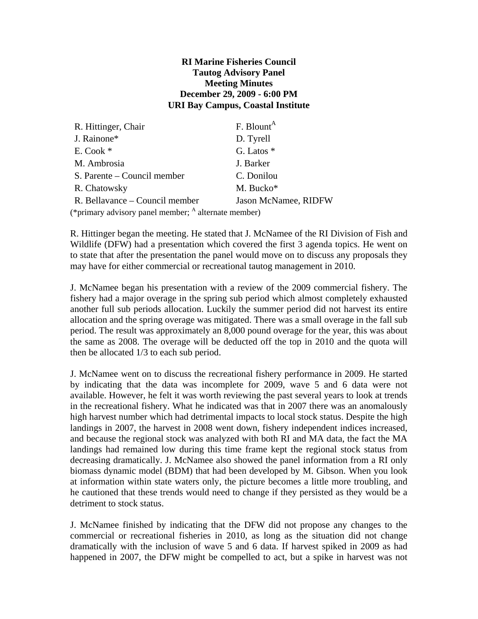## **RI Marine Fisheries Council Tautog Advisory Panel Meeting Minutes December 29, 2009 - 6:00 PM URI Bay Campus, Coastal Institute**

| R. Hittinger, Chair                                             | F. Blount <sup>A</sup> |
|-----------------------------------------------------------------|------------------------|
| J. Rainone*                                                     | D. Tyrell              |
| E. Cook *                                                       | G. Latos *             |
| M. Ambrosia                                                     | J. Barker              |
| S. Parente – Council member                                     | C. Donilou             |
| R. Chatowsky                                                    | M. Bucko*              |
| R. Bellavance – Council member                                  | Jason McNamee, RIDFW   |
| (*primary advisory panel member; <sup>A</sup> alternate member) |                        |

R. Hittinger began the meeting. He stated that J. McNamee of the RI Division of Fish and Wildlife (DFW) had a presentation which covered the first 3 agenda topics. He went on to state that after the presentation the panel would move on to discuss any proposals they may have for either commercial or recreational tautog management in 2010.

J. McNamee began his presentation with a review of the 2009 commercial fishery. The fishery had a major overage in the spring sub period which almost completely exhausted another full sub periods allocation. Luckily the summer period did not harvest its entire allocation and the spring overage was mitigated. There was a small overage in the fall sub period. The result was approximately an 8,000 pound overage for the year, this was about the same as 2008. The overage will be deducted off the top in 2010 and the quota will then be allocated 1/3 to each sub period.

J. McNamee went on to discuss the recreational fishery performance in 2009. He started by indicating that the data was incomplete for 2009, wave 5 and 6 data were not available. However, he felt it was worth reviewing the past several years to look at trends in the recreational fishery. What he indicated was that in 2007 there was an anomalously high harvest number which had detrimental impacts to local stock status. Despite the high landings in 2007, the harvest in 2008 went down, fishery independent indices increased, and because the regional stock was analyzed with both RI and MA data, the fact the MA landings had remained low during this time frame kept the regional stock status from decreasing dramatically. J. McNamee also showed the panel information from a RI only biomass dynamic model (BDM) that had been developed by M. Gibson. When you look at information within state waters only, the picture becomes a little more troubling, and he cautioned that these trends would need to change if they persisted as they would be a detriment to stock status.

J. McNamee finished by indicating that the DFW did not propose any changes to the commercial or recreational fisheries in 2010, as long as the situation did not change dramatically with the inclusion of wave 5 and 6 data. If harvest spiked in 2009 as had happened in 2007, the DFW might be compelled to act, but a spike in harvest was not